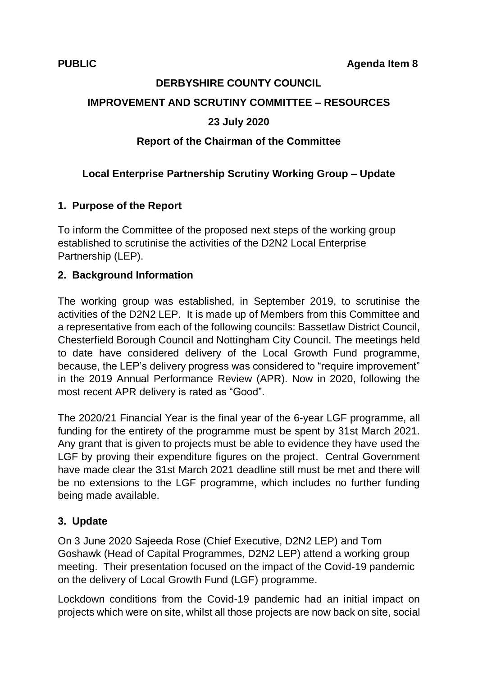# **DERBYSHIRE COUNTY COUNCIL**

#### **IMPROVEMENT AND SCRUTINY COMMITTEE – RESOURCES**

# **23 July 2020**

# **Report of the Chairman of the Committee**

# **Local Enterprise Partnership Scrutiny Working Group – Update**

# **1. Purpose of the Report**

To inform the Committee of the proposed next steps of the working group established to scrutinise the activities of the D2N2 Local Enterprise Partnership (LEP).

#### **2. Background Information**

The working group was established, in September 2019, to scrutinise the activities of the D2N2 LEP. It is made up of Members from this Committee and a representative from each of the following councils: Bassetlaw District Council, Chesterfield Borough Council and Nottingham City Council. The meetings held to date have considered delivery of the Local Growth Fund programme, because, the LEP's delivery progress was considered to "require improvement" in the 2019 Annual Performance Review (APR). Now in 2020, following the most recent APR delivery is rated as "Good".

The 2020/21 Financial Year is the final year of the 6-year LGF programme, all funding for the entirety of the programme must be spent by 31st March 2021. Any grant that is given to projects must be able to evidence they have used the LGF by proving their expenditure figures on the project. Central Government have made clear the 31st March 2021 deadline still must be met and there will be no extensions to the LGF programme, which includes no further funding being made available.

#### **3. Update**

On 3 June 2020 Sajeeda Rose (Chief Executive, D2N2 LEP) and Tom Goshawk (Head of Capital Programmes, D2N2 LEP) attend a working group meeting. Their presentation focused on the impact of the Covid-19 pandemic on the delivery of Local Growth Fund (LGF) programme.

Lockdown conditions from the Covid-19 pandemic had an initial impact on projects which were on site, whilst all those projects are now back on site, social